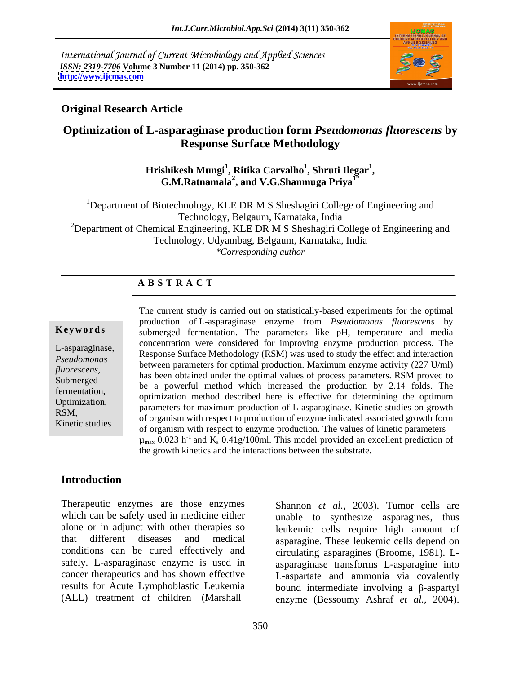International Journal of Current Microbiology and Applied Sciences *ISSN: 2319-7706* **Volume 3 Number 11 (2014) pp. 350-362 <http://www.ijcmas.com>**



### **Original Research Article**

### **Optimization of L-asparaginase production form** *Pseudomonas fluorescens* **by Response Surface Methodology**

 $\mathbf{H}$ rishikesh Mungi<sup>1</sup>, Ritika Carvalho<sup>1</sup>, Shruti Ilegar<sup>1</sup>, **, Shruti Ilegar<sup>1</sup> , G.M.Ratnamala2 , and V.G.Shanmuga Priya1\***

<sup>1</sup>Department of Biotechnology, KLE DR M S Sheshagiri College of Engineering and Technology, Belgaum, Karnataka, India  $2$ Department of Chemical Engineering, KLE DR M S Sheshagiri College of Engineering and Technology, Udyambag, Belgaum, Karnataka, India *\*Corresponding author*

### **A B S T R A C T**

**Keywords** submerged fermentation. The parameters like pH, temperature and media L-asparaginase,<br>Response Surface Methodology (RSM) was used to study the effect and interaction *Pseudomonas*<br>
between parameters for optimal production. Maximum enzyme activity (227 U/ml) *fluorescens*,<br>
has been obtained under the optimal values of process parameters. RSM proved to<br>
Submerged the a powerful method which increased the production by 2.14 folds. The fermentation,<br>
optimization method described here is effective for determining the optimum Optimization,<br>
parameters for maximum production of L-asparaginase. Kinetic studies on growth RSM,<br>
of organism with respect to production of enzyme indicated associated growth form<br>
Finatio studies of organism with respect to production of enzyme indicated associated growth form Kinetic studies<br>
of organism with respect to enzyme production. The values of kinetic parameters – The current study is carried out on statistically-based experiments for the optimal production of L-asparaginase enzyme from *Pseudomonas fluorescens* by concentration were considered for improving enzyme production process. The be a powerful method which increased the production by 2.14 folds. The  $\mu_{\text{max}}$  0.023 h<sup>-1</sup> and K<sub>s</sub> 0.41g/100ml. This model provided an excellent prediction of the growth kinetics and the interactions between the substrate.

### **Introduction**

Therapeutic enzymes are those enzymes Shannon *et al.,* 2003). Tumor cells are which can be safely used in medicine either

alone or in adjunct with other therapies so leukemic cells require high amount of that different diseases and medical asparagine. These leukemic cells depend on conditions can be cured effectively and circulating asparagines (Broome, 1981). L safely. L-asparaginase enzyme is used in asparaginase transforms L-asparagine into cancer therapeutics and has shown effective L-aspartate and ammonia via covalently results for Acute Lymphoblastic Leukemia bound intermediate involving a  $\beta$ -aspartyl (ALL) treatment of children (Marshall enzyme (Bessoumy Ashraf *et al.,* 2004). unable to synthesize asparagines, thus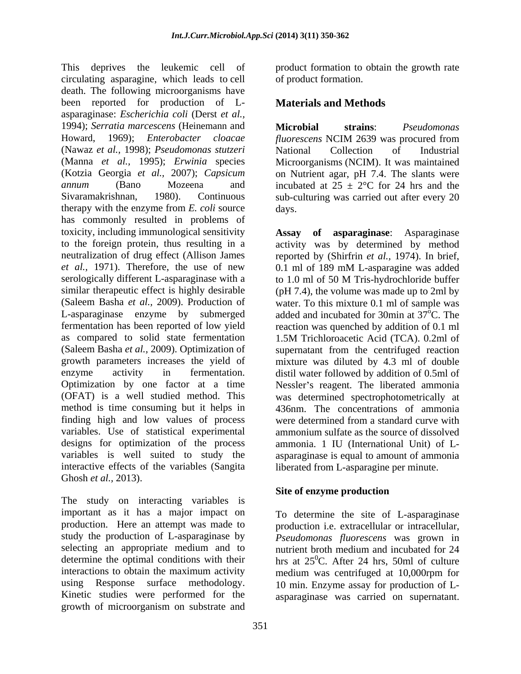This deprives the leukemic cell of product formation to obtain the growth rate circulating asparagine, which leads to cell death. The following microorganisms have been reported for production of L asparaginase: *Escherichia coli* (Derst *et al.,* 1994); *Serratia marcescens* (Heinemann and Howard, 1969); *Enterobacter cloacae* (Nawaz *et al.,* 1998); *Pseudomonas stutzeri* (Manna *et al.,* 1995); *Erwinia* species Microorganisms (NCIM). It was maintained (Kotzia Georgia *et al.,* 2007); *Capsicum*  on Nutrient agar, pH 7.4. The slants were *annum* (Bano Mozeena and incubated at  $25 \pm 2$ °C for 24 hrs and the Sivaramakrishnan, 1980). Continuous sub-culturing was carried out after every 20 therapy with the enzyme from *E. coli* source has commonly resulted in problems of toxicity, including immunological sensitivity to the foreign protein, thus resulting in a activity was by determined by method neutralization of drug effect (Allison James reported by (Shirfrin *et al.,* 1974). In brief, *et al.,* 1971). Therefore, the use of new serologically different L-asparaginase with a to 1.0 ml of 50 M Tris-hydrochloride buffer similar therapeutic effect is highly desirable (Saleem Basha *et al.,* 2009). Production of water. To this mixture 0.1 ml of sample was L-asparaginase enzyme by submerged added and incubated for 30min at 37<sup>o</sup>C. The fermentation has been reported of low yield reaction was quenched by addition of 0.1 ml as compared to solid state fermentation 1.5M Trichloroacetic Acid (TCA). 0.2ml of (Saleem Basha *et al.,* 2009). Optimization of growth parameters increases the yield of mixture was diluted by 4.3 ml of double enzyme activity in fermentation. distil water followed by addition of 0.5ml of Optimization by one factor at a time Nessler's reagent. The liberated ammonia (OFAT) is a well studied method. This was determined spectrophotometrically at method is time consuming but it helps in 436nm. The concentrations of ammonia finding high and low values of process variables. Use of statistical experimental designs for optimization of the process variables is well suited to study the asparaginase is equal to amount of ammonia interactive effects of the variables (Sangita

Ghosh *et al.*, 2013).<br>The study on interacting variables is **Site of enzyme production** important as it has a major impact on To determine the site of L-asparaginase production. Here an attempt was made to production i.e. extracellular or intracellular, study the production of L-asparaginase by *Pseudomonas fluorescens* was grown in selecting an appropriate medium and to nutrient broth medium and incubated for 24 determine the optimal conditions with their hrs at  $25^{\circ}$ C. After 24 hrs, 50ml of culture interactions to obtain the maximum activity medium was centrifuged at 10,000rpm for using Response surface methodology. 10 min. Enzyme assay for production of L- Kinetic studies were performed for the asparaginase was carried on supernatant. growth of microorganism on substrate and

of product formation.

### **Materials and Methods**

**Microbial strains**: *Pseudomonas fluorescens* NCIM 2639 was procured from National Collection of Industrial days. The contract of the contract of the contract of the contract of the contract of the contract of the contract of the contract of the contract of the contract of the contract of the contract of the contract of the cont

**Assay of asparaginase**: Asparaginase 0.1 ml of 189 mM L-asparagine was added (pH 7.4), the volume was made up to 2ml by  $\rm^{\circ}C.$  The 1.5M Trichloroacetic Acid (TCA). 0.2ml of supernatant from the centrifuged reaction were determined from a standard curve with ammonium sulfate as the source of dissolved ammonia. 1 IU (International Unit) of L liberated from L-asparagine per minute.

### **Site of enzyme production**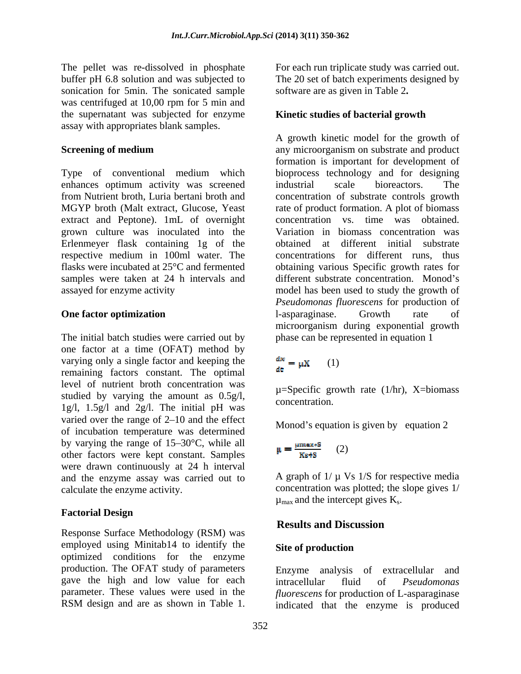The pellet was re-dissolved in phosphate For each run triplicate study was carried out. buffer pH 6.8 solution and was subjected to The 20 set of batch experiments designed by sonication for 5min. The sonicated sample was centrifuged at 10,00 rpm for 5 min and the supernatant was subjected for enzyme assay with appropriates blank samples.

Type of conventional medium which bioprocess technology and for designing enhances optimum activity was screened industrial scale bioreactors. The from Nutrient broth, Luria bertani broth and concentration of substrate controls growth MGYP broth (Malt extract, Glucose, Yeast rate of product formation. A plot of biomass extract and Peptone). 1mL of overnight grown culture was inoculated into the Erlenmeyer flask containing 1g of the respective medium in 100ml water. The flasks were incubated at 25°C and fermented obtaining various Specific growth rates for samples were taken at 24 h intervals and different substrate concentration. Monod's assayed for enzyme activity model has been used to study the growth of

The initial batch studies were carried out by one factor at a time (OFAT) method by varying only a single factor and keeping the  $\frac{dx}{dt} = \mu X$  (1) remaining factors constant. The optimal level of nutrient broth concentration was studied by varying the amount as  $0.5g/l$ ,  $\mu$ -specific ground 1g/l,  $1.5g/1$  and  $2g/1$ . The initial pH was varied over the range of  $2\n-10$  and the effect of incubation temperature was determined by varying the range of  $15-30$ °C, while all other factors were kept constant. Samples were drawn continuously at 24 h interval and the enzyme assay was carried out to

### **Factorial Design**

Results and Discussion<br>Response Surface Methodology (RSM) was<br>Results and Discussion employed using Minitab14 to identify the Site of production optimized conditions for the enzyme production. The OFAT study of parameters gave the high and low value for each intracellular fluid of *Pseudomonas* RSM design and are as shown in Table 1.

software are as given in Table 2**.**

### **Kinetic studies of bacterial growth**

**Screening of medium** any microorganism on substrate and product **One factor optimization** A growth kinetic model for the growth of formation is important for development of industrial scale bioreactors. The concentration vs. time was obtained. Variation in biomass concentration was obtained at different initial substrate concentrations for different runs, thus *Pseudomonas fluorescens* for production of l-asparaginase. Growth rate of microorganism during exponential growth phase can be represented in equation 1

## (1)

 $\mu$ =Specific growth rate (1/hr), X=biomass concentration.

Monod's equation is given by equation  $2$ 

$$
\mu = \frac{\mu \text{max} \cdot \text{s}}{\text{Ks} + \text{s}} \qquad (2)
$$

calculate the enzyme activity. concentration was plotted; the slope gives 1/ A graph of  $1/\mu$  Vs  $1/S$  for respective media  $\mu_{\text{max}}$  and the intercept gives  $K_s$ .

### **Results and Discussion**

### **Site of production**

parameter. These values were used in the *fluorescens* for production of L-asparaginase Enzyme analysis of extracellular and intracellular fluid of *Pseudomonas*  indicated that the enzyme is produced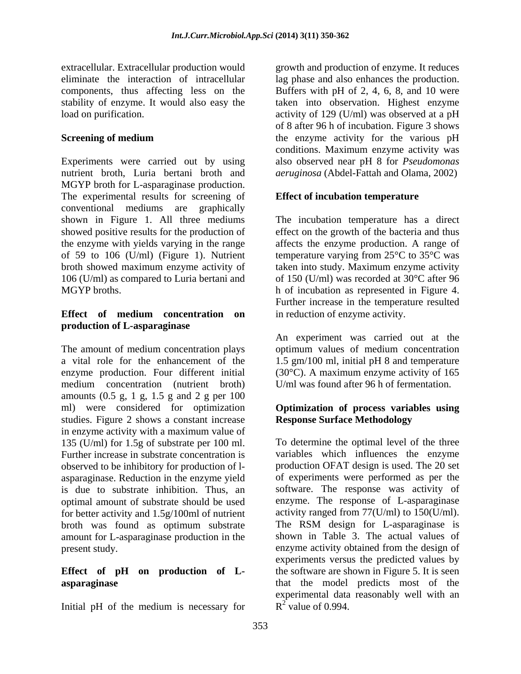Experiments were carried out by using nutrient broth, Luria bertani broth and MGYP broth for L-asparaginase production. The experimental results for screening of conventional mediums are graphically<br>shown in Figure 1. All three mediums shown in Figure 1. All three mediums The incubation temperature has a direct showed positive results for the production of effect on the growth of the bacteria and thus the enzyme with yields varying in the range affects the enzyme production. A range of of 59 to 106 (U/ml) (Figure 1). Nutrient temperature varying from 25°C to 35°C was broth showed maximum enzyme activity of taken into study. Maximum enzyme activity 106 (U/ml) as compared to Luria bertani and MGYP broths. h of incubation as represented in Figure 4.

# **production of L-asparaginase**

The amount of medium concentration plays optimum values of medium concentration a vital role for the enhancement of the 1.5 gm/100 ml, initial pH 8 and temperature enzyme production. Four different initial (30°C). A maximum enzyme activity of 165 medium concentration (nutrient broth) amounts (0.5 g, 1 g, 1.5 g and 2 g per 100 ml) were considered for optimization **Optimization of process variables using** studies. Figure 2 shows a constant increase in enzyme activity with a maximum value of 135 (U/ml) for 1.5g of substrate per 100 ml. Further increase in substrate concentration is observed to be inhibitory for production of l is due to substrate inhibition. Thus, an for better activity and 1.5g/100ml of nutrient broth was found as optimum substrate amount for L-asparaginase production in the

Initial pH of the medium is necessary for

extracellular. Extracellular production would growth and production of enzyme. It reduces eliminate the interaction of intracellular lag phase and also enhances the production. components, thus affecting less on the Buffers with pH of 2, 4, 6, 8, and 10 were stability of enzyme. It would also easy the taken into observation. Highest enzyme load on purification. activity of 129 (U/ml) was observed at a pH **Screening of medium the enzyme activity for the various pH** of 8 after 96 h of incubation. Figure 3 shows conditions. Maximum enzyme activity was also observed near pH 8 for *Pseudomonas aeruginosa* (Abdel-Fattah and Olama, 2002)

### **Effect of incubation temperature**

**Effect of medium concentration on** of 150 (U/ml) was recorded at 30°C after 96 Further increase in the temperature resulted in reduction of enzyme activity.

> An experiment was carried out at the U/ml was found after 96 h of fermentation.

## **Response Surface Methodology**

asparaginase. Reduction in the enzyme yield of experiments were performed as per the optimal amount of substrate should be used enzyme. The response of L-asparaginase present study. enzyme activity obtained from the design of **Effect of pH on production of L-** the software are shown in Figure 5. It is seen **asparaginase** that the model predicts most of the To determine the optimal level of the three variables which influences the enzyme production OFAT design is used. The 20 set software. The response was activity of activity ranged from 77(U/ml) to 150(U/ml). The RSM design for L-asparaginase is shown in Table 3. The actual values of experiments versus the predicted values by experimental data reasonably well with an  $R^2$  value of 0.994.  $^{2}$  volve of 0.004  $R^2$  value of 0.994.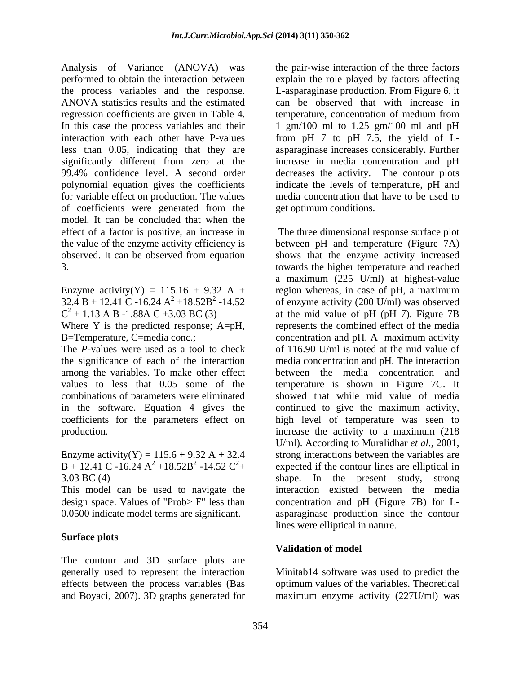Analysis of Variance (ANOVA) was performed to obtain the interaction between explain the role played by factors affecting the process variables and the response. L-asparaginase production. From Figure 6, it ANOVA statistics results and the estimated can be observed that with increase in regression coefficients are given in Table 4. In this case the process variables and their 1 gm/100 ml to 1.25 gm/100 ml and pH interaction with each other have P-values from pH 7 to pH 7.5, the yield of L less than 0.05, indicating that they are asparaginase increases considerably. Further significantly different from zero at the increase in media concentration and pH 99.4% confidence level. A second order decreases the activity. The contour plots polynomial equation gives the coefficients indicate the levels of temperature, pH and for variable effect on production. The values of coefficients were generated from the model. It can be concluded that when the

 $32.4 B + 12.41 C - 16.24 A^2 + 18.52 B^2 - 14.52$ 

Where Y is the predicted response; A=pH,

combinations of parameters were eliminated

Enzyme activity(Y) = 115.6 + 9.32 A + 32.4 strong interactions between the variables are <br>B + 12.41 C -16.24 A<sup>2</sup> +18.52B<sup>2</sup> -14.52 C<sup>2</sup>+ expected if the contour lines are elliptical in

This model can be used to navigate the design space. Values of "Prob> F" less than

#### **Surface plots**

The contour and 3D surface plots are generally used to represent the interaction Minitab14 software was used to predict the effects between the process variables (Bas optimum values of the variables. Theoretical and Boyaci, 2007). 3D graphs generated for maximum enzyme activity (227U/ml) was

the pair-wise interaction of the three factors temperature, concentration of medium from media concentration that have to be used to get optimum conditions.

effect of a factor is positive, an increase in The three dimensional response surface plot the value of the enzyme activity efficiency is between pH and temperature (Figure 7A) observed. It can be observed from equation shows that the enzyme activity increased 3. towards the higher temperature and reached Enzyme activity(Y) = 115.16 + 9.32 A + region whereas, in case of pH, a maximum  $+18.52B^2 -14.52$  of enzyme activity (200 U/ml) was observed  $C^2 + 1.13$  A B -1.88A C +3.03 BC (3) at the mid value of pH (pH 7). Figure 7B B=Temperature, C=media conc.; concentration and pH. A maximum activity The *P*-values were used as a tool to check of 116.90 U/ml is noted at the mid value of the significance of each of the interaction media concentration and pH. The interaction among the variables. To make other effect between the media concentration and values to less that 0.05 some of the temperature is shown in Figure 7C. It in the software. Equation 4 gives the continued to give the maximum activity, coefficients for the parameters effect on high level of temperature was seen to production. increase the activity to a maximum (218  $B + 12.41 \text{ C} - 16.24 \text{ A}^2 + 18.52 \text{ B}^2 - 14.52 \text{ C}^2 +$  expected if the contour lines are elliptical in 3.03 BC (4) shape. In the present study, strong 0.0500 indicate model terms are significant. asparaginase production since the contour a maximum (225 U/ml) at highest-value represents the combined effect of the media showed that while mid value of media U/ml). According to Muralidhar *et al.,* 2001, strong interactions between the variables are interaction existed between the media concentration and pH (Figure 7B) for L lines were elliptical in nature.

### **Validation of model**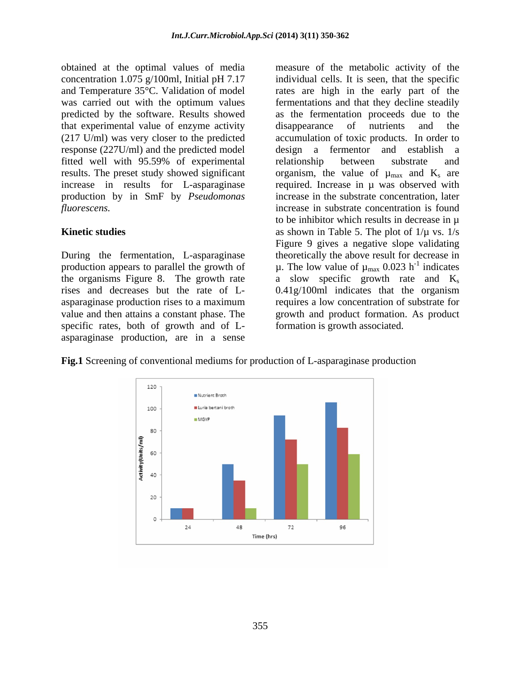that experimental value of enzyme activity response (227U/ml) and the predicted model fitted well with 95.59% of experimental production by in SmF by *Pseudomonas* 

specific rates, both of growth and of L asparaginase production, are in a sense

obtained at the optimal values of media measure of the metabolic activity of the concentration 1.075 g/100ml, Initial pH 7.17 individual cells. It is seen, that the specific and Temperature 35°C. Validation of model rates are high in the early part of the was carried out with the optimum values fermentations and that they decline steadily predicted by the software. Results showed as the fermentation proceeds due to the (217 U/ml) was very closer to the predicted accumulation of toxic products. In order to results. The preset study showed significant organism, the value of  $\mu_{\text{max}}$  and  $K_s$  are increase in results for L-asparaginase required. Increase in µ was observed with *fluorescens.* increase in substrate concentration is found **Kinetic studies** as shown in Table 5. The plot of  $1/\mu$  vs. 1/s During the fermentation, L-asparaginase theoretically the above result for decrease in production appears to parallel the growth of  $\mu$ . The low value of  $\mu_{\text{max}}$  0.023 h<sup>-1</sup> indicates the organisms Figure 8. The growth rate  $\qquad$  a slow specific growth rate and  $K_s$ rises and decreases but the rate of L- 0.41g/100ml indicates that the organism asparaginase production rises to a maximum requires a low concentration of substrate for value and then attains a constant phase. The growth and product formation. As product disappearance of nutrients and the design a fermentor and establish a relationship between substrate and increase in the substrate concentration, later to be inhibitor which results in decrease in  $\mu$ Figure 9 gives a negative slope validating  $^{-1}$  indicates indicates formation is growth associated.

**Fig.1** Screening of conventional mediums for production of L-asparaginase production

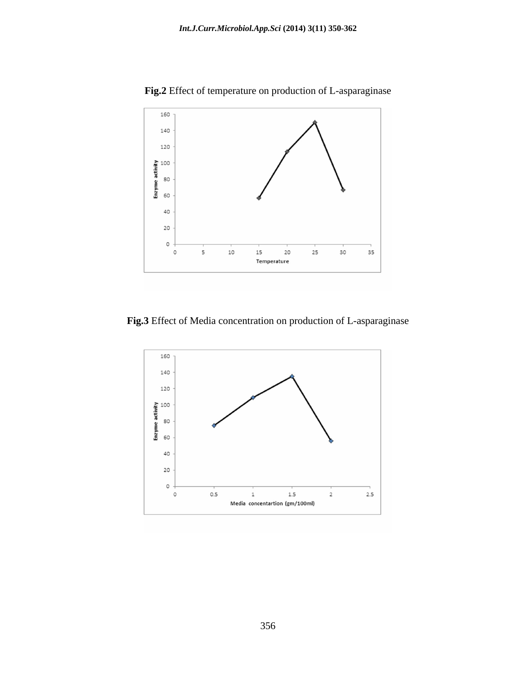

**Fig.2** Effect of temperature on production of L-asparaginase

**Fig.3** Effect of Media concentration on production of L-asparaginase

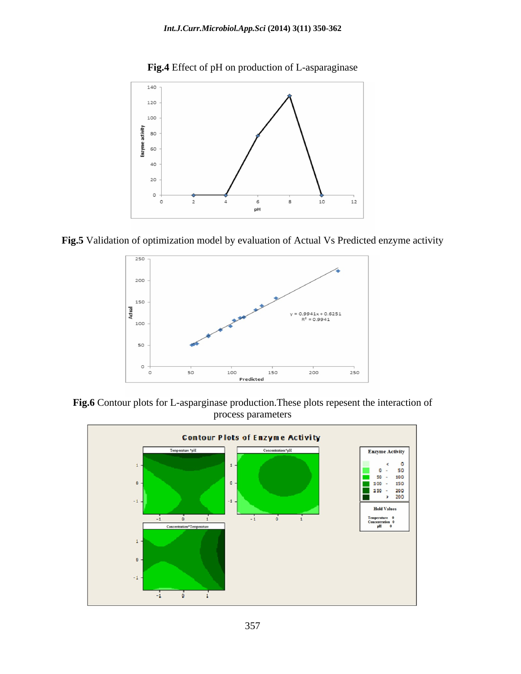

**Fig.4** Effect of pH on production of L-asparaginase

**Fig.5** Validation of optimization model by evaluation of Actual Vs Predicted enzyme activity



**Fig.6** Contour plots for L-asparginase production.These plots repesent the interaction of process parameters

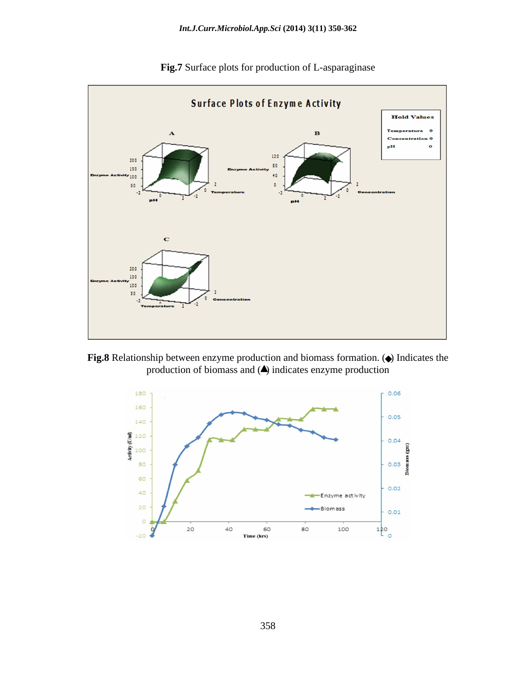

**Fig.7** Surface plots for production of L-asparaginase

Fig.8 Relationship between enzyme production and biomass formation. ( $\bullet$ ) Indicates the production of biomass and  $($ ) indicates enzyme production

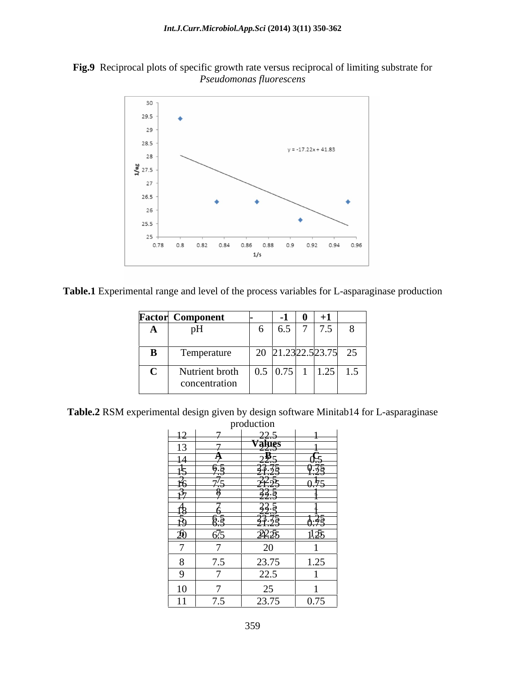



**Table.1** Experimental range and level of the process variables for L-asparaginase production

|                | <b>Factor</b> Component  |                                                                                                  | $\mathbf{r}$      | $+1$         |     |
|----------------|--------------------------|--------------------------------------------------------------------------------------------------|-------------------|--------------|-----|
| $\overline{A}$ | n <sub>II</sub><br>$\mu$ |                                                                                                  | $\vert 6.5 \vert$ | $7 \mid 7.5$ | - റ |
|                |                          |                                                                                                  |                   |              |     |
|                | Temperature              |                                                                                                  |                   |              |     |
|                | Nutrient broth           | $\begin{array}{ c c c c c c c c c c c } \hline 0.5 & 0.75 & 1 & 1.25 & 1.5 \ \hline \end{array}$ |                   |              |     |
|                | concentration            |                                                                                                  |                   |              |     |

**Table.2** RSM experimental design given by design software Minitab14 for L-asparaginase

|                                                                |                                                                                                                    | production                                                                                                                                                                                                                                                                                                                                                                                    |                       |
|----------------------------------------------------------------|--------------------------------------------------------------------------------------------------------------------|-----------------------------------------------------------------------------------------------------------------------------------------------------------------------------------------------------------------------------------------------------------------------------------------------------------------------------------------------------------------------------------------------|-----------------------|
|                                                                |                                                                                                                    |                                                                                                                                                                                                                                                                                                                                                                                               | ———                   |
| $\begin{array}{ c c }\n\hline\n-12 \\ \hline\n13\n\end{array}$ | and the control of the control of                                                                                  | $\frac{22.5}{\sqrt{3}higs}$                                                                                                                                                                                                                                                                                                                                                                   |                       |
|                                                                |                                                                                                                    |                                                                                                                                                                                                                                                                                                                                                                                               |                       |
|                                                                |                                                                                                                    |                                                                                                                                                                                                                                                                                                                                                                                               | $\frac{0.5}{0.75}$    |
|                                                                |                                                                                                                    |                                                                                                                                                                                                                                                                                                                                                                                               |                       |
|                                                                |                                                                                                                    |                                                                                                                                                                                                                                                                                                                                                                                               | $\frac{1}{\sqrt{15}}$ |
|                                                                | $\frac{14}{15}$ $\frac{4}{15}$<br>$\frac{4}{15}$ $\frac{6}{15}$<br>$\frac{7}{15}$<br>$\frac{3}{17}$ $\frac{8}{17}$ | $\begin{array}{r} 2\frac{3}{2},\frac{3}{2},\frac{3}{2},\frac{3}{2},\frac{3}{2},\frac{3}{2},\frac{3}{2},\frac{3}{2},\frac{3}{2},\frac{3}{2},\frac{3}{2},\frac{3}{2},\frac{3}{2},\frac{3}{2},\frac{3}{2},\frac{3}{2},\frac{3}{2},\frac{3}{2},\frac{3}{2},\frac{3}{2},\frac{3}{2},\frac{3}{2},\frac{3}{2},\frac{3}{2},\frac{3}{2},\frac{3}{2},\frac{3}{2},\frac{3}{2},\frac{3}{2},\frac{3}{2},\$ | —————                 |
|                                                                |                                                                                                                    |                                                                                                                                                                                                                                                                                                                                                                                               |                       |
|                                                                |                                                                                                                    |                                                                                                                                                                                                                                                                                                                                                                                               |                       |
|                                                                | — <del>u.J</del>                                                                                                   |                                                                                                                                                                                                                                                                                                                                                                                               | $\frac{1}{0.75}$      |
| $\frac{18}{19}$                                                | 6/5<br><u>v.v</u>                                                                                                  | 29.25                                                                                                                                                                                                                                                                                                                                                                                         | $\overline{1!25}$     |
| $\overline{\phantom{0}}$                                       |                                                                                                                    | 20                                                                                                                                                                                                                                                                                                                                                                                            |                       |
|                                                                |                                                                                                                    |                                                                                                                                                                                                                                                                                                                                                                                               |                       |
|                                                                | 7.5                                                                                                                | 23.75                                                                                                                                                                                                                                                                                                                                                                                         | 1.25                  |
|                                                                | $\overline{a}$                                                                                                     | 22.5                                                                                                                                                                                                                                                                                                                                                                                          |                       |
| 10                                                             |                                                                                                                    | 25                                                                                                                                                                                                                                                                                                                                                                                            |                       |
| the control of the control of the<br>$-4.4$                    |                                                                                                                    |                                                                                                                                                                                                                                                                                                                                                                                               | 0.75                  |
| $\mathbf{1}$                                                   | 7.5                                                                                                                |                                                                                                                                                                                                                                                                                                                                                                                               | 23.75                 |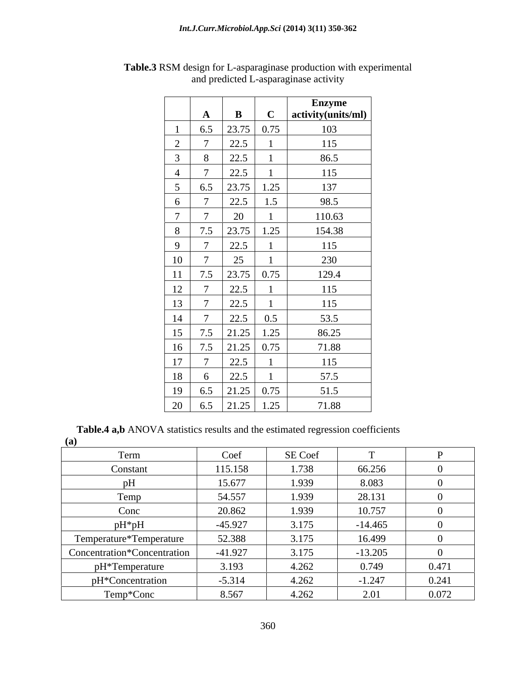|                 |                |                                                      |             | <b>Enzyme</b>      |
|-----------------|----------------|------------------------------------------------------|-------------|--------------------|
|                 | $\mathbf{A}$   | $\mathbf{B}$                                         | $\mathbf C$ | activity(units/ml) |
|                 | 6.5            | $23.75$ 0.75                                         |             | 103                |
| $\overline{2}$  | $\sqrt{ }$     | 22.5                                                 |             | 115                |
|                 | 8              | 22.5                                                 |             | 86.5               |
|                 | $\mathbf{r}$   | 22.5                                                 |             | 115                |
| $5\overline{)}$ | 6.5            | 23.75                                                | 1.25        | 137                |
| 6               | $\overline{ }$ | 22.5                                                 | 1.5         | 98.5               |
| $\overline{7}$  | $\overline{ }$ | 20                                                   |             | 110.63             |
| 8               | 7.5            | 23.75                                                | 1.25        | 154.38             |
| 9               | $\mathbf{r}$   | 22.5                                                 |             | 115                |
| $10\,$          | $\mathbf{r}$   | 25                                                   |             | 230                |
| 11              | 7.5            | $23.75$ 0.75                                         |             | 129.4              |
| 12              | $\sqrt{ }$     | 22.5                                                 |             | 115                |
| 13              | $\mathbf{r}$   | 22.5                                                 |             | 115                |
| 14              |                | 22.5                                                 | 0.5         | 53.5               |
| 15              | 7.5            | 21.25                                                | 1.25        | 86.25              |
| 16              | 7.5            | $21.25 \begin{array}{ c c } \hline 0.75 \end{array}$ |             | 71.88              |
| 17              | $\mathbf{r}$   | 22.5                                                 |             | 115                |
| 18              | 6              | 22.5                                                 |             | 57.5               |
| 19              | 6.5            | 21.25                                                | 0.75        | 51.5               |
| $\frac{20}{ }$  | 6.5            | 21.25                                                | 1.25        | 71.88              |

**Table.3** RSM design for L-asparaginase production with experimental and predicted L-asparaginase activity

**Table.4 a,b** ANOVA statistics results and the estimated regression coefficients (a) **(a)**

| $\left($                    |           |         |           |       |
|-----------------------------|-----------|---------|-----------|-------|
| Term                        | Coef      | SE Coef |           |       |
| Constant                    | 115.158   | 1.738   | 66.256    |       |
|                             | 15.677    | 1.939   | 8.083     |       |
| Temp                        | 54.557    | 1.939   | 28.131    |       |
| Conc                        | 20.862    | 1.939   | 10.757    |       |
| $pH^*pH$                    | $-45.927$ | 3.175   | $-14.465$ |       |
| Temperature*Temperature     | 52.388    | 3.175   | 16.499    |       |
| Concentration*Concentration | $-41.927$ | 3.175   | $-13.205$ |       |
| pH*Temperature              | 3.193     | 4.262   | 0.749     | 0.471 |
| pH*Concentration            | $-5.314$  | 4.262   | $-1.247$  | 0.241 |
| Temp*Conc                   | 8.567     | 4.262   | 2.01      | 0.072 |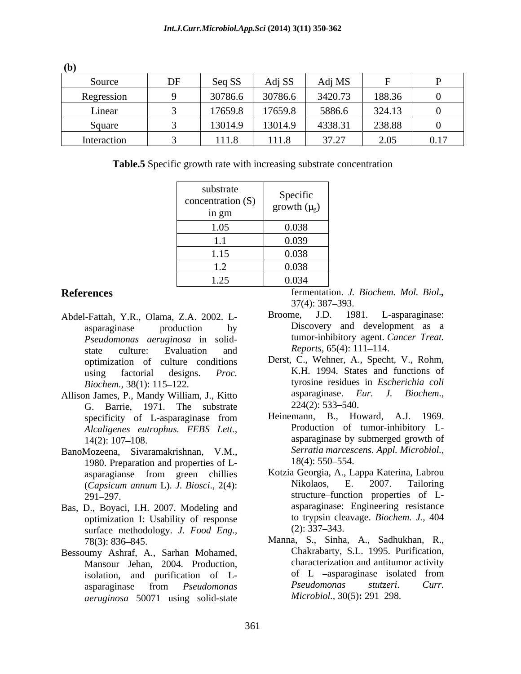| (b)         |          |         |         |                      |        |      |
|-------------|----------|---------|---------|----------------------|--------|------|
| Source      | DF       | Seq SS  | Adj SS  | Adj MS               |        |      |
| Regression  | $\alpha$ | 30786.6 | 30786.6 | 3420.73              | 188.36 |      |
| Linear      |          | 17659.8 | 17659.8 | 5886.6               | 324.13 |      |
| Square      |          | 13014.9 | 13014.9 | 4338.31              | 238.88 |      |
| Interaction |          | 111.8   | 111.8   | $37.27$<br>$J/I - L$ | 2.05   | 0.17 |

**Table.5** Specific growth rate with increasing substrate concentration

| substrate<br>concentration (S)<br>in gm | Specific<br>growth $(\mu_{g})$ |
|-----------------------------------------|--------------------------------|
| 1.05                                    | 0.038                          |
|                                         | 0.039                          |
| 1.1<br>1.15                             | 0.038                          |
| $\sim$<br>$\perp$ . $\perp$             | 0.038                          |
| 1.25<br>1.4J                            | 0.034                          |

- Abdel-Fattah, Y.R., Olama, Z.A. 2002. L- *Pseudomonas aeruginosa* in solid-<br>state culture: Evaluation and *Reports*, 65(4): 111–114. state culture: Evaluation and *Reports*, 65(4): 111–114.
- G. Barrie, 1971. The substrate  $224(2): 533-540$ .<br>specificity of Lasparaginase from Heinemann. B. Howard. A.J. 1969. *Alcaligenes eutrophus. FEBS Lett.,*
- BanoMozeena, Sivaramakrishnan, V.M., Serratia marces<br>1980 Preparation and properties of L<sub>2</sub> 18(4): 550–554. 1980. Preparation and properties of L-
- Bas, D., Boyaci, I.H. 2007. Modeling and optimization I: Usability of response to trypsin cle<br>surface methodology *I Food Fng* (2): 337–343. surface methodology. *J. Food Eng.,*
- Bessoumy Ashraf, A., Sarhan Mohamed, *aeruginosa* 50071 using solid-state

**References** fermentation. *J. Biochem. Mol. Biol.,*  $37(4)$ :  $387-393$ .

- asparaginase production by Discovery and development as a Broome, J.D. 1981. L-asparaginase: tumor-inhibitory agent. *Cancer Treat. Reports*, 65(4): 111–114.
- optimization of culture conditions Derst, C., Wehner, A., Specht, V., Rohm, using factorial designs. *Proc. Biochem.,* 38(1): 115–122. The example of tyrosine residues in *Escherichia coli* Allison James, P., Mandy William, J., Kitto asparaginase. Eur. J. Biochem.,<br>
G. Barrie, 1971, The substrate 224(2): 533–540. K.H. 1994. States and functions of tyrosine residues in *Escherichia coli* asparaginase. *Eur.*  $224(2)$ : 533–540.
	- specificity of L-asparaginase from Heinemann, B., Howard, A.J. 1969. 14(2): 107–108. **asparaginase** by submerged growth of Heinemann, B., Howard, A.J. Production of tumor-inhibitory L- *Serratia marcescens*. *Appl. Microbiol.,* 18(4): 550–554.
	- asparagianse from green chillies Kotzia-Georgia, A., Lappa-Katerina, Labrou (*Capsicum annum* L). *J. Biosci*., 2(4): 291 297. structure function properties of L- Kotzia Georgia, A., Lappa Katerina, Labrou Nikolaos, E. 2007. Tailoring asparaginase: Engineering resistance to trypsin cleavage. *Biochem. J.*, 404  $(2)$ : 337–343.
	- 78(3): 836 845. Manna, S., Sinha, A., Sadhukhan, R., Mansour Jehan, 2004. Production, characterization and antitumor activity<br>isolation and purification of L- of L -asparaginase isolated from isolation, and purification of L-<br>
	synanopes from *Pseudomonas Pseudomonas Stutzeri.* Curr. asparaginase from *Pseudomonas*  Chakrabarty, S.L. 1995. Purification, characterization and antitumor activity of L asparaginase isolated from *Pseudomonas stutzeri*. *Curr. Microbiol.,* 30(5)**:** 291 298.